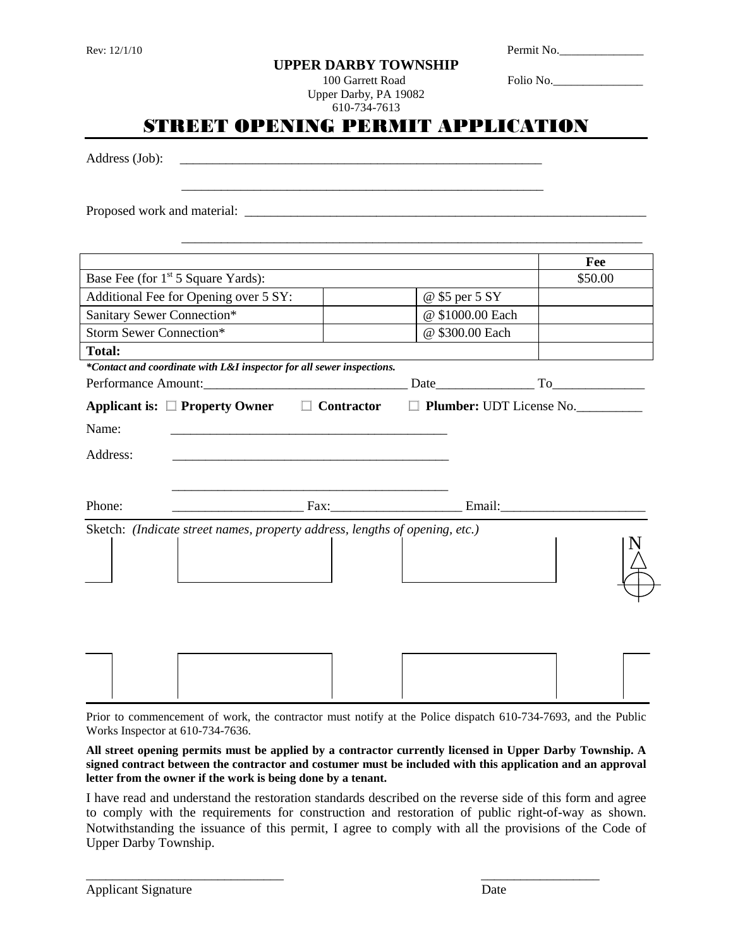|  | Rev: 12/1/10 |
|--|--------------|
|--|--------------|

|  | UPPER DARBY TOWNSHIP |
|--|----------------------|
|  |                      |

Permit No.

100 Garrett Road Folio No.

Upper Darby, PA 19082 610-734-7613

|                             | STREET OPENING PERMIT APPLICATION                                                                                                                                                                                                                                                                                                                                            | 610-734-7613 |                  |                            |
|-----------------------------|------------------------------------------------------------------------------------------------------------------------------------------------------------------------------------------------------------------------------------------------------------------------------------------------------------------------------------------------------------------------------|--------------|------------------|----------------------------|
| Address (Job):              |                                                                                                                                                                                                                                                                                                                                                                              |              |                  |                            |
|                             |                                                                                                                                                                                                                                                                                                                                                                              |              |                  |                            |
|                             |                                                                                                                                                                                                                                                                                                                                                                              |              |                  | Fee                        |
|                             | Base Fee (for 1 <sup>st</sup> 5 Square Yards):                                                                                                                                                                                                                                                                                                                               |              |                  | \$50.00                    |
|                             | Additional Fee for Opening over 5 SY:                                                                                                                                                                                                                                                                                                                                        |              | @ \$5 per 5 SY   |                            |
| Sanitary Sewer Connection*  |                                                                                                                                                                                                                                                                                                                                                                              |              | @ \$1000.00 Each |                            |
| Storm Sewer Connection*     |                                                                                                                                                                                                                                                                                                                                                                              |              | @ \$300.00 Each  |                            |
| Name:<br>Address:<br>Phone: | *Contact and coordinate with L&I inspector for all sewer inspections.<br>Applicant is: $\square$ Property Owner $\square$ Contractor<br><u> Email: Email: Email: Email: Email: Email: Email: Email: Email: Email: Email: Email: Email: Email: Email: Email: Email: Email: Email: Email: Email: Email: Email: Email: Email: Email: Email: Email: Email: Email: Email: Ema</u> |              |                  | □ Plumber: UDT License No. |
|                             | Sketch: (Indicate street names, property address, lengths of opening, etc.)                                                                                                                                                                                                                                                                                                  |              |                  |                            |
|                             |                                                                                                                                                                                                                                                                                                                                                                              |              |                  |                            |
|                             |                                                                                                                                                                                                                                                                                                                                                                              |              |                  |                            |

Prior to commencement of work, the contractor must notify at the Police dispatch 610-734-7693, and the Public Works Inspector at 610-734-7636.

**All street opening permits must be applied by a contractor currently licensed in Upper Darby Township. A signed contract between the contractor and costumer must be included with this application and an approval letter from the owner if the work is being done by a tenant.**

I have read and understand the restoration standards described on the reverse side of this form and agree to comply with the requirements for construction and restoration of public right-of-way as shown. Notwithstanding the issuance of this permit, I agree to comply with all the provisions of the Code of Upper Darby Township.

\_\_\_\_\_\_\_\_\_\_\_\_\_\_\_\_\_\_\_\_\_\_\_\_\_\_\_\_\_\_ \_\_\_\_\_\_\_\_\_\_\_\_\_\_\_\_\_\_